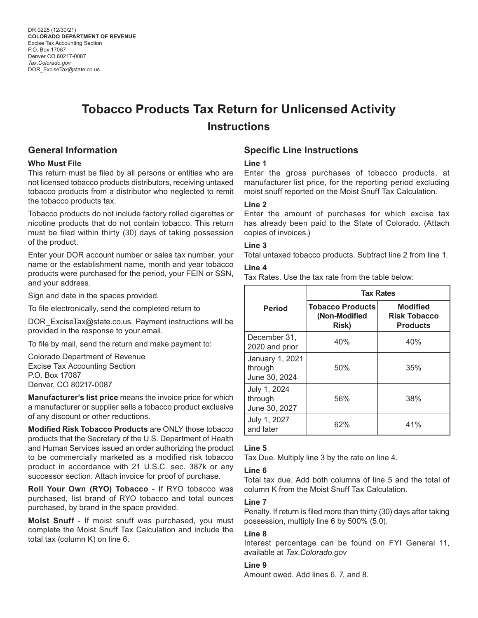# **Tobacco Products Tax Return for Unlicensed Activity Instructions**

### **General Information**

#### **Who Must File**

This return must be filed by all persons or entities who are not licensed tobacco products distributors, receiving untaxed tobacco products from a distributor who neglected to remit the tobacco products tax.

Tobacco products do not include factory rolled cigarettes or nicotine products that do not contain tobacco. This return must be filed within thirty (30) days of taking possession of the product.

Enter your DOR account number or sales tax number, your name or the establishment name, month and year tobacco products were purchased for the period, your FEIN or SSN, and your address.

Sign and date in the spaces provided.

To file electronically, send the completed return to

DOR\_ExciseTax@state.co.us. Payment instructions will be provided in the response to your email.

To file by mail, send the return and make payment to:

Colorado Department of Revenue Excise Tax Accounting Section P.O. Box 17087 Denver, CO 80217-0087

**Manufacturer's list price** means the invoice price for which a manufacturer or supplier sells a tobacco product exclusive of any discount or other reductions.

**Modified Risk Tobacco Products** are ONLY those tobacco products that the Secretary of the U.S. Department of Health and Human Services issued an order authorizing the product to be commercially marketed as a modified risk tobacco product in accordance with 21 U.S.C. sec. 387k or any successor section. Attach invoice for proof of purchase.

**Roll Your Own (RYO) Tobacco** - If RYO tobacco was purchased, list brand of RYO tobacco and total ounces purchased, by brand in the space provided.

**Moist Snuff** - If moist snuff was purchased, you must complete the Moist Snuff Tax Calculation and include the total tax (column K) on line 6.

## **Specific Line Instructions**

### **Line 1**

Enter the gross purchases of tobacco products, at manufacturer list price, for the reporting period excluding moist snuff reported on the Moist Snuff Tax Calculation.

#### **Line 2**

Enter the amount of purchases for which excise tax has already been paid to the State of Colorado. (Attach copies of invoices.)

### **Line 3**

Total untaxed tobacco products. Subtract line 2 from line 1.

### **Line 4**

Tax Rates. Use the tax rate from the table below:

|                                             | <b>Tax Rates</b>                                         |                                                           |  |  |  |  |
|---------------------------------------------|----------------------------------------------------------|-----------------------------------------------------------|--|--|--|--|
| <b>Period</b>                               | <b>Tobacco Products</b><br>(Non-Modified<br><b>Risk)</b> | <b>Modified</b><br><b>Risk Tobacco</b><br><b>Products</b> |  |  |  |  |
| December 31,<br>2020 and prior              | 40%                                                      | 40%                                                       |  |  |  |  |
| January 1, 2021<br>through<br>June 30, 2024 | 50%                                                      | 35%                                                       |  |  |  |  |
| July 1, 2024<br>through<br>June 30, 2027    | 56%                                                      | 38%                                                       |  |  |  |  |
| July 1, 2027<br>and later                   | 62%                                                      | 41%                                                       |  |  |  |  |

### **Line 5**

Tax Due. Multiply line 3 by the rate on line 4.

### **Line 6**

Total tax due. Add both columns of line 5 and the total of column K from the Moist Snuff Tax Calculation.

### **Line 7**

Penalty. If return is filed more than thirty (30) days after taking possession, multiply line 6 by 500% (5.0).

### **Line 8**

Interest percentage can be found on FYI General 11, available at *Tax.Colorado.gov*

### **Line 9**

Amount owed. Add lines 6, 7, and 8.